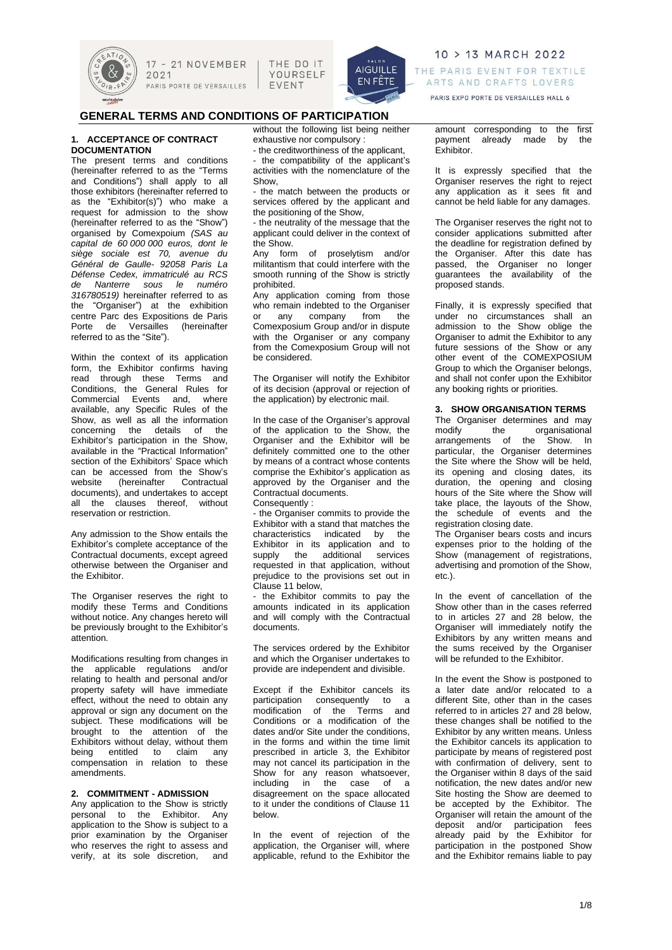

THE DO IT YOURSELF EVENT



# 10 > 13 MARCH 2022 THE PARIS EVENT FOR TEXTILE ARTS AND CRAFTS LOVERS

PARIS EXPO PORTE DE VERSAILLES HALL 6

# **GENERAL TERMS AND CONDITIONS OF PARTICIPATION**

### **1. ACCEPTANCE OF CONTRACT DOCUMENTATION**

The present terms and conditions (hereinafter referred to as the "Terms and Conditions") shall apply to all those exhibitors (hereinafter referred to as the "Exhibitor(s)") who make a request for admission to the show (hereinafter referred to as the "Show") organised by Comexpoium *(SAS au capital de 60 000 000 euros, dont le siège sociale est 70, avenue du Général de Gaulle- 92058 Paris La Défense Cedex, immatriculé au RCS de Nanterre sous le numéro 316780519)* hereinafter referred to as the "Organiser") at the exhibition centre Parc des Expositions de Paris Porte de Versailles (hereinafter referred to as the "Site").

Within the context of its application form, the Exhibitor confirms having read through these Terms and Conditions, the General Rules for Commercial Events and, where available, any Specific Rules of the Show, as well as all the information concerning the details of the Exhibitor's participation in the Show, available in the "Practical Information" section of the Exhibitors' Space which can be accessed from the Show's<br>website (hereinafter Contractual website (hereinafter documents), and undertakes to accept all the clauses thereof, without reservation or restriction.

Any admission to the Show entails the Exhibitor's complete acceptance of the Contractual documents, except agreed otherwise between the Organiser and the Exhibitor.

The Organiser reserves the right to modify these Terms and Conditions without notice. Any changes hereto will be previously brought to the Exhibitor's attention.

Modifications resulting from changes in the applicable regulations and/or relating to health and personal and/or property safety will have immediate effect, without the need to obtain any approval or sign any document on the subject. These modifications will be brought to the attention of the Exhibitors without delay, without them being entitled to claim any compensation in relation to these amendments.

# **2. COMMITMENT - ADMISSION**

Any application to the Show is strictly personal to the Exhibitor. Any application to the Show is subject to a prior examination by the Organiser who reserves the right to assess and verify, at its sole discretion, and without the following list being neither exhaustive nor compulsory :

- the creditworthiness of the applicant, - the compatibility of the applicant's

activities with the nomenclature of the Show, the match between the products or

services offered by the applicant and the positioning of the Show,

- the neutrality of the message that the applicant could deliver in the context of the Show.

Any form of proselytism and/or militantism that could interfere with the smooth running of the Show is strictly prohibited.

Any application coming from those who remain indebted to the Organiser or any company from the Comexposium Group and/or in dispute with the Organiser or any company from the Comexposium Group will not be considered.

The Organiser will notify the Exhibitor of its decision (approval or rejection of the application) by electronic mail.

In the case of the Organiser's approval of the application to the Show, the Organiser and the Exhibitor will be definitely committed one to the other by means of a contract whose contents comprise the Exhibitor's application as approved by the Organiser and the Contractual documents. Consequently :

- the Organiser commits to provide the Exhibitor with a stand that matches the

characteristics indicated by the Exhibitor in its application and to supply the additional services requested in that application, without prejudice to the provisions set out in Clause 11 below,

the Exhibitor commits to pay the amounts indicated in its application and will comply with the Contractual documents.

The services ordered by the Exhibitor and which the Organiser undertakes to provide are independent and divisible.

Except if the Exhibitor cancels its participation consequently to a modification of the Terms and Conditions or a modification of the dates and/or Site under the conditions, in the forms and within the time limit prescribed in article 3, the Exhibitor may not cancel its participation in the Show for any reason whatsoever, including in the case of a disagreement on the space allocated to it under the conditions of Clause 11 below.

In the event of rejection of the application, the Organiser will, where applicable, refund to the Exhibitor the

amount corresponding to the first payment already made by the Exhibitor.

It is expressly specified that the Organiser reserves the right to reject any application as it sees fit and cannot be held liable for any damages.

The Organiser reserves the right not to consider applications submitted after the deadline for registration defined by the Organiser. After this date has passed, the Organiser no longer guarantees the availability of the proposed stands.

Finally, it is expressly specified that under no circumstances shall an admission to the Show oblige the Organiser to admit the Exhibitor to any future sessions of the Show or any other event of the COMEXPOSIUM Group to which the Organiser belongs, and shall not confer upon the Exhibitor any booking rights or priorities.

# **3. SHOW ORGANISATION TERMS**

The Organiser determines and may modify the organisational arrangements of the Show. In particular, the Organiser determines the Site where the Show will be held, its opening and closing dates, its duration, the opening and closing hours of the Site where the Show will take place, the layouts of the Show, the schedule of events and the registration closing date.

The Organiser bears costs and incurs expenses prior to the holding of the Show (management of registrations, advertising and promotion of the Show, etc.).

In the event of cancellation of the Show other than in the cases referred to in articles 27 and 28 below, the Organiser will immediately notify the Exhibitors by any written means and the sums received by the Organiser will be refunded to the Exhibitor.

In the event the Show is postponed to a later date and/or relocated to a different Site, other than in the cases referred to in articles 27 and 28 below, these changes shall be notified to the Exhibitor by any written means. Unless the Exhibitor cancels its application to participate by means of registered post with confirmation of delivery, sent to the Organiser within 8 days of the said notification, the new dates and/or new Site hosting the Show are deemed to be accepted by the Exhibitor. The Organiser will retain the amount of the deposit and/or participation fees already paid by the Exhibitor for participation in the postponed Show and the Exhibitor remains liable to pay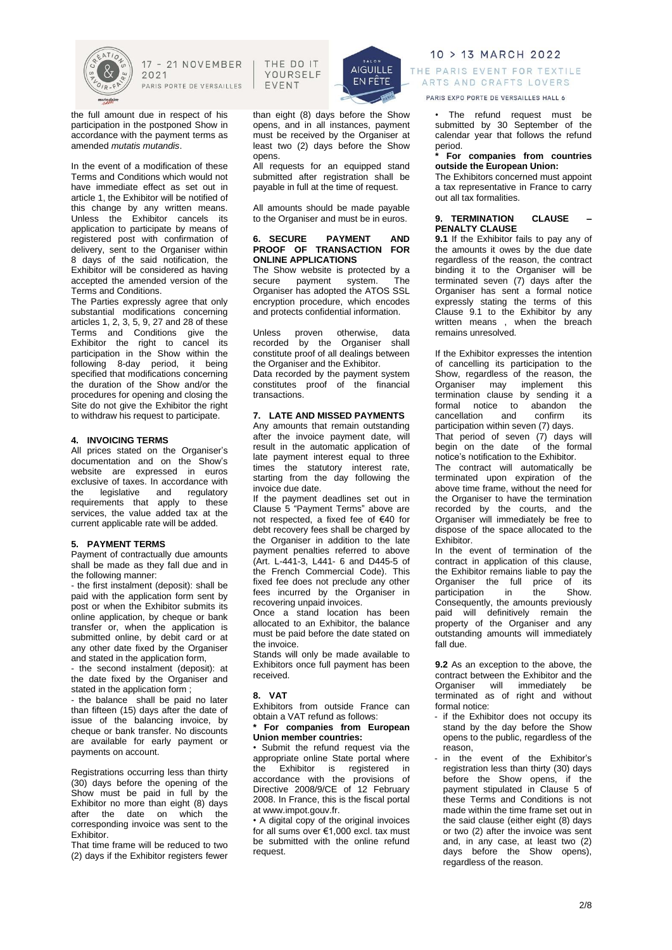

the full amount due in respect of his participation in the postponed Show in accordance with the payment terms as amended *mutatis mutandis*.

In the event of a modification of these Terms and Conditions which would not have immediate effect as set out in article 1, the Exhibitor will be notified of this change by any written means. Unless the Exhibitor cancels its application to participate by means of registered post with confirmation of delivery, sent to the Organiser within 8 days of the said notification, the Exhibitor will be considered as having accepted the amended version of the Terms and Conditions.

The Parties expressly agree that only substantial modifications concerning articles 1, 2, 3, 5, 9, 27 and 28 of these Terms and Conditions give the Exhibitor the right to cancel its participation in the Show within the following 8-day period, it being specified that modifications concerning the duration of the Show and/or the procedures for opening and closing the Site do not give the Exhibitor the right to withdraw his request to participate.

### **4. INVOICING TERMS**

All prices stated on the Organiser's documentation and on the Show's website are expressed in euros exclusive of taxes. In accordance with the legislative and regulatory requirements that apply to these services, the value added tax at the current applicable rate will be added.

### **5. PAYMENT TERMS**

Payment of contractually due amounts shall be made as they fall due and in the following manner:

- the first instalment (deposit): shall be paid with the application form sent by post or when the Exhibitor submits its online application, by cheque or bank transfer or, when the application is submitted online, by debit card or at any other date fixed by the Organiser and stated in the application form,

- the second instalment (deposit): at the date fixed by the Organiser and stated in the application form ;

- the balance shall be paid no later than fifteen (15) days after the date of issue of the balancing invoice, by cheque or bank transfer. No discounts are available for early payment or payments on account.

Registrations occurring less than thirty (30) days before the opening of the Show must be paid in full by the Exhibitor no more than eight (8) days after the date on which the corresponding invoice was sent to the Exhibitor.

That time frame will be reduced to two (2) days if the Exhibitor registers fewer

THE DO IT YOURSELF EVENT



than eight (8) days before the Show opens, and in all instances, payment must be received by the Organiser at least two (2) days before the Show opens.

All requests for an equipped stand submitted after registration shall be payable in full at the time of request.

All amounts should be made payable to the Organiser and must be in euros.

### **6. SECURE PAYMENT AND PROOF OF TRANSACTION FOR ONLINE APPLICATIONS**

The Show website is protected by a secure payment system. The Organiser has adopted the ATOS SSL encryption procedure, which encodes and protects confidential information.

Unless proven otherwise, data recorded by the Organiser shall constitute proof of all dealings between the Organiser and the Exhibitor. Data recorded by the payment system constitutes proof of the financial transactions.

# **7. LATE AND MISSED PAYMENTS**

Any amounts that remain outstanding after the invoice payment date, will result in the automatic application of late payment interest equal to three times the statutory interest rate, starting from the day following the invoice due date.

If the payment deadlines set out in Clause 5 "Payment Terms" above are not respected, a fixed fee of €40 for debt recovery fees shall be charged by the Organiser in addition to the late payment penalties referred to above (Art. L-441-3, L441- 6 and D445-5 of the French Commercial Code). This fixed fee does not preclude any other fees incurred by the Organiser in recovering unpaid invoices.

Once a stand location has been allocated to an Exhibitor, the balance must be paid before the date stated on the invoice.

Stands will only be made available to Exhibitors once full payment has been received.

#### **8. VAT**

Exhibitors from outside France can obtain a VAT refund as follows:

**\* For companies from European Union member countries:**

• Submit the refund request via the appropriate online State portal where the Exhibitor is registered in accordance with the provisions of Directive 2008/9/CE of 12 February 2008. In France, this is the fiscal portal at www.impot.gouv.fr.

• A digital copy of the original invoices for all sums over €1,000 excl. tax must be submitted with the online refund request.

# 10 > 13 MARCH 2022 THE PARIS EVENT FOR TEXTILE ARTS AND CRAFTS LOVERS

PARIS EXPO PORTE DE VERSAILLES HALL 6

The refund request must be submitted by 30 September of the calendar year that follows the refund period.

# **\* For companies from countries outside the European Union:**

The Exhibitors concerned must appoint a tax representative in France to carry out all tax formalities.

### **9. TERMINATION CLAUSE – PENALTY CLAUSE**

**9.1** If the Exhibitor fails to pay any of the amounts it owes by the due date regardless of the reason, the contract binding it to the Organiser will be terminated seven (7) days after the Organiser has sent a formal notice expressly stating the terms of this Clause 9.1 to the Exhibitor by any written means , when the breach remains unresolved.

If the Exhibitor expresses the intention of cancelling its participation to the Show, regardless of the reason, the<br>Organiser may implement this Organiser may implement this termination clause by sending it a<br>formal notice to abandon the formal notice to abandon the<br>cancellation and confirm its cancellation and confirm its participation within seven (7) days.

That period of seven (7) days will begin on the date of the formal notice's notification to the Exhibitor.

The contract will automatically be terminated upon expiration of the above time frame, without the need for the Organiser to have the termination recorded by the courts, and the Organiser will immediately be free to dispose of the space allocated to the **Exhibitor** 

In the event of termination of the contract in application of this clause, the Exhibitor remains liable to pay the Organiser the full price of its<br>participation in the Show. participation in the Show. Consequently, the amounts previously paid will definitively remain the property of the Organiser and any outstanding amounts will immediately fall due.

**9.2** As an exception to the above, the contract between the Exhibitor and the<br>Organiser will immediately be immediately be terminated as of right and without formal notice:

- if the Exhibitor does not occupy its stand by the day before the Show opens to the public, regardless of the reason,
- in the event of the Exhibitor's registration less than thirty (30) days before the Show opens, if the payment stipulated in Clause 5 of these Terms and Conditions is not made within the time frame set out in the said clause (either eight (8) days or two (2) after the invoice was sent and, in any case, at least two (2) days before the Show opens), regardless of the reason.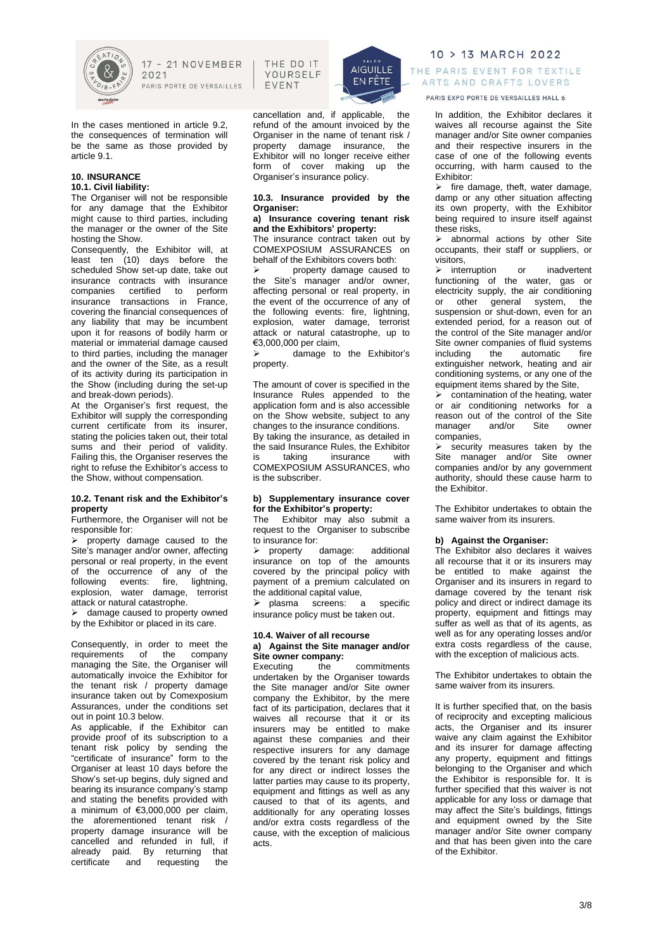

In the cases mentioned in article 9.2, the consequences of termination will be the same as those provided by article 9.1.

#### **10. INSURANCE 10.1. Civil liability:**

The Organiser will not be responsible for any damage that the Exhibitor might cause to third parties, including the manager or the owner of the Site hosting the Show.

Consequently, the Exhibitor will, at least ten (10) days before the scheduled Show set-up date, take out insurance contracts with insurance companies certified to perform insurance transactions in France, covering the financial consequences of any liability that may be incumbent upon it for reasons of bodily harm or material or immaterial damage caused to third parties, including the manager and the owner of the Site, as a result of its activity during its participation in the Show (including during the set-up and break-down periods).

At the Organiser's first request, the Exhibitor will supply the corresponding current certificate from its insurer, stating the policies taken out, their total sums and their period of validity. Failing this, the Organiser reserves the right to refuse the Exhibitor's access to the Show, without compensation.

# **10.2. Tenant risk and the Exhibitor's property**

Furthermore, the Organiser will not be responsible for:

 $\triangleright$  property damage caused to the Site's manager and/or owner, affecting personal or real property, in the event of the occurrence of any of the following events: fire, lightning, explosion, water damage, terrorist attack or natural catastrophe.

 $\triangleright$  damage caused to property owned by the Exhibitor or placed in its care.

Consequently, in order to meet the<br>requirements of the company requirements of the company managing the Site, the Organiser will automatically invoice the Exhibitor for the tenant risk / property damage insurance taken out by Comexposium Assurances, under the conditions set out in point 10.3 below.

As applicable, if the Exhibitor can provide proof of its subscription to a tenant risk policy by sending the "certificate of insurance" form to the Organiser at least 10 days before the Show's set-up begins, duly signed and bearing its insurance company's stamp and stating the benefits provided with a minimum of €3,000,000 per claim, the aforementioned tenant risk / property damage insurance will be cancelled and refunded in full, if already paid. By returning that certificate and requesting the

THE DO IT YOURSELF **FVFNT** 



cancellation and, if applicable, the refund of the amount invoiced by the Organiser in the name of tenant risk / property damage insurance, the Exhibitor will no longer receive either form of cover making up the Organiser's insurance policy.

**10.3. Insurance provided by the Organiser:**

# **a) Insurance covering tenant risk and the Exhibitors' property:**

The insurance contract taken out by COMEXPOSIUM ASSURANCES on behalf of the Exhibitors covers both:

➢ property damage caused to the Site's manager and/or owner, affecting personal or real property, in the event of the occurrence of any of the following events: fire, lightning, explosion, water damage, terrorist attack or natural catastrophe, up to €3,000,000 per claim,

damage to the Exhibitor's property.

The amount of cover is specified in the Insurance Rules appended to the application form and is also accessible on the Show website, subject to any changes to the insurance conditions. By taking the insurance, as detailed in the said Insurance Rules, the Exhibitor<br>is taking insurance with is taking insurance COMEXPOSIUM ASSURANCES, who is the subscriber.

# **b) Supplementary insurance cover for the Exhibitor's property:**

The Exhibitor may also submit a request to the Organiser to subscribe to insurance for:

➢ property damage: additional insurance on top of the amounts covered by the principal policy with payment of a premium calculated on the additional capital value,

➢ plasma screens: a specific insurance policy must be taken out.

# **10.4. Waiver of all recourse a) Against the Site manager and/or Site owner company:**

Executing the commitments undertaken by the Organiser towards the Site manager and/or Site owner company the Exhibitor, by the mere fact of its participation, declares that it waives all recourse that it or its insurers may be entitled to make against these companies and their respective insurers for any damage covered by the tenant risk policy and for any direct or indirect losses the latter parties may cause to its property, equipment and fittings as well as any caused to that of its agents, and additionally for any operating losses and/or extra costs regardless of the cause, with the exception of malicious acts.

10 > 13 MARCH 2022 THE PARIS EVENT FOR TEXTILE ARTS AND CRAFTS LOVERS

PARIS EXPO PORTE DE VERSAILLES HALL 6

In addition, the Exhibitor declares it waives all recourse against the Site manager and/or Site owner companies and their respective insurers in the case of one of the following events occurring, with harm caused to the Exhibitor:

 $\geq$  fire damage, theft, water damage, damp or any other situation affecting its own property, with the Exhibitor being required to insure itself against these risks,

➢ abnormal actions by other Site occupants, their staff or suppliers, or visitors,

➢ interruption or inadvertent functioning of the water, gas or electricity supply, the air conditioning or other general system, the suspension or shut-down, even for an extended period, for a reason out of the control of the Site manager and/or Site owner companies of fluid systems including the automatic fire extinguisher network, heating and air conditioning systems, or any one of the equipment items shared by the Site,

 $\triangleright$  contamination of the heating, water or air conditioning networks for a reason out of the control of the Site<br>manager and/or Site owner manager companies,

➢ security measures taken by the Site manager and/or Site owner companies and/or by any government authority, should these cause harm to the Exhibitor.

The Exhibitor undertakes to obtain the same waiver from its insurers.

# **b) Against the Organiser:**

The Exhibitor also declares it waives all recourse that it or its insurers may be entitled to make against the Organiser and its insurers in regard to damage covered by the tenant risk policy and direct or indirect damage its property, equipment and fittings may suffer as well as that of its agents, as well as for any operating losses and/or extra costs regardless of the cause, with the exception of malicious acts.

The Exhibitor undertakes to obtain the same waiver from its insurers.

It is further specified that, on the basis of reciprocity and excepting malicious acts, the Organiser and its insurer waive any claim against the Exhibitor and its insurer for damage affecting any property, equipment and fittings belonging to the Organiser and which the Exhibitor is responsible for. It is further specified that this waiver is not applicable for any loss or damage that may affect the Site's buildings, fittings and equipment owned by the Site manager and/or Site owner company and that has been given into the care of the Exhibitor.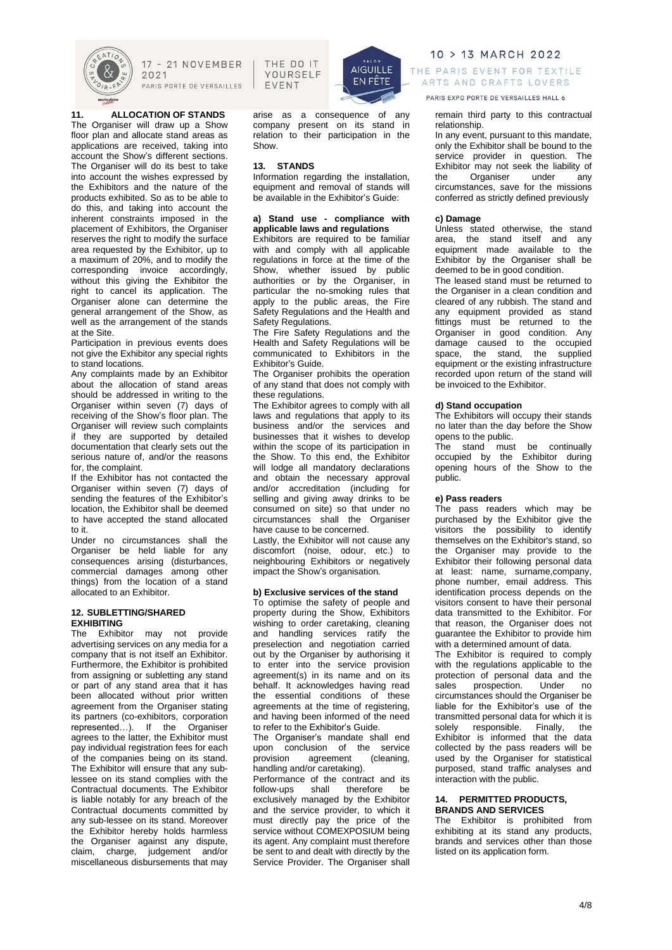

at the Site.

to stand locations.

for, the complaint.

allocated to an Exhibitor. **12. SUBLETTING/SHARED**

**EXHIBITING**

to it.

**11. ALLOCATION OF STANDS** The Organiser will draw up a Show floor plan and allocate stand areas as applications are received, taking into account the Show's different sections. The Organiser will do its best to take into account the wishes expressed by the Exhibitors and the nature of the products exhibited. So as to be able to do this, and taking into account the inherent constraints imposed in the placement of Exhibitors, the Organiser reserves the right to modify the surface area requested by the Exhibitor, up to a maximum of 20%, and to modify the corresponding invoice accordingly. without this giving the Exhibitor the right to cancel its application. The Organiser alone can determine the general arrangement of the Show, as well as the arrangement of the stands

Participation in previous events does not give the Exhibitor any special rights

Any complaints made by an Exhibitor about the allocation of stand areas should be addressed in writing to the Organiser within seven (7) days of receiving of the Show's floor plan. The Organiser will review such complaints if they are supported by detailed documentation that clearly sets out the serious nature of, and/or the reasons

If the Exhibitor has not contacted the Organiser within seven (7) days of sending the features of the Exhibitor's location, the Exhibitor shall be deemed to have accepted the stand allocated

Under no circumstances shall the Organiser be held liable for any consequences arising (disturbances, commercial damages among other things) from the location of a stand

The Exhibitor may not provide advertising services on any media for a company that is not itself an Exhibitor. Furthermore, the Exhibitor is prohibited from assigning or subletting any stand or part of any stand area that it has been allocated without prior written agreement from the Organiser stating its partners (co-exhibitors, corporation represented…). If the Organiser agrees to the latter, the Exhibitor must pay individual registration fees for each of the companies being on its stand. The Exhibitor will ensure that any sublessee on its stand complies with the Contractual documents. The Exhibitor is liable notably for any breach of the Contractual documents committed by any sub-lessee on its stand. Moreover the Exhibitor hereby holds harmless the Organiser against any dispute, claim, charge, judgement and/or miscellaneous disbursements that may

17 - 21 NOVEMBER  $2021$ PARIS PORTE DE VERSAILLES

THE DO IT YOURSELF **FVFNT** 



arise as a consequence of any company present on its stand in relation to their participation in the Show.

# **13. STANDS**

Information regarding the installation, equipment and removal of stands will be available in the Exhibitor's Guide:

### **a) Stand use - compliance with applicable laws and regulations**

Exhibitors are required to be familiar with and comply with all applicable regulations in force at the time of the Show, whether issued by public authorities or by the Organiser, in particular the no-smoking rules that apply to the public areas, the Fire Safety Regulations and the Health and Safety Regulations.

The Fire Safety Regulations and the Health and Safety Regulations will be communicated to Exhibitors in the Exhibitor's Guide.

The Organiser prohibits the operation of any stand that does not comply with these regulations.

The Exhibitor agrees to comply with all laws and regulations that apply to its business and/or the services and businesses that it wishes to develop within the scope of its participation in the Show. To this end, the Exhibitor will lodge all mandatory declarations and obtain the necessary approval and/or accreditation (including for selling and giving away drinks to be consumed on site) so that under no circumstances shall the Organiser have cause to be concerned.

Lastly, the Exhibitor will not cause any discomfort (noise, odour, etc.) to neighbouring Exhibitors or negatively impact the Show's organisation.

# **b) Exclusive services of the stand**

To optimise the safety of people and property during the Show, Exhibitors wishing to order caretaking, cleaning and handling services ratify the preselection and negotiation carried out by the Organiser by authorising it to enter into the service provision agreement(s) in its name and on its behalf. It acknowledges having read the essential conditions of these agreements at the time of registering, and having been informed of the need to refer to the Exhibitor's Guide.

The Organiser's mandate shall end upon conclusion of the service<br>provision agreement (cleaning, provision agreement handling and/or caretaking).

Performance of the contract and its<br>follow-ups shall therefore be follow-ups shall therefore be exclusively managed by the Exhibitor and the service provider, to which it must directly pay the price of the service without COMEXPOSIUM being its agent. Any complaint must therefore be sent to and dealt with directly by the Service Provider. The Organiser shall

10 > 13 MARCH 2022 THE PARIS EVENT FOR TEXTILE ARTS AND CRAFTS LOVERS

PARIS EXPO PORTE DE VERSAILLES HALL 6

### remain third party to this contractual relationship.

In any event, pursuant to this mandate, only the Exhibitor shall be bound to the service provider in question. The Exhibitor may not seek the liability of the Organiser under any circumstances, save for the missions conferred as strictly defined previously

# **c) Damage**

Unless stated otherwise, the stand area, the stand itself and any equipment made available to the Exhibitor by the Organiser shall be deemed to be in good condition.

The leased stand must be returned to the Organiser in a clean condition and cleared of any rubbish. The stand and any equipment provided as stand fittings must be returned to the Organiser in good condition. Any damage caused to the occupied space, the stand, the supplied equipment or the existing infrastructure recorded upon return of the stand will be invoiced to the Exhibitor.

### **d) Stand occupation**

The Exhibitors will occupy their stands no later than the day before the Show opens to the public.

The stand must be continually occupied by the Exhibitor during opening hours of the Show to the public.

# **e) Pass readers**

The pass readers which may be purchased by the Exhibitor give the visitors the possibility to identify themselves on the Exhibitor's stand, so the Organiser may provide to the Exhibitor their following personal data at least: name, surname,company, phone number, email address. This identification process depends on the visitors consent to have their personal data transmitted to the Exhibitor. For that reason, the Organiser does not guarantee the Exhibitor to provide him with a determined amount of data.

The Exhibitor is required to comply with the regulations applicable to the protection of personal data and the<br>sales prospection. Under no prospection. Under no circumstances should the Organiser be liable for the Exhibitor's use of the transmitted personal data for which it is<br>solely responsible. Finally, the solely responsible. Finally, the Exhibitor is informed that the data collected by the pass readers will be used by the Organiser for statistical purposed, stand traffic analyses and interaction with the public.

# **14. PERMITTED PRODUCTS, BRANDS AND SERVICES**

The Exhibitor is prohibited from exhibiting at its stand any products, brands and services other than those listed on its application form.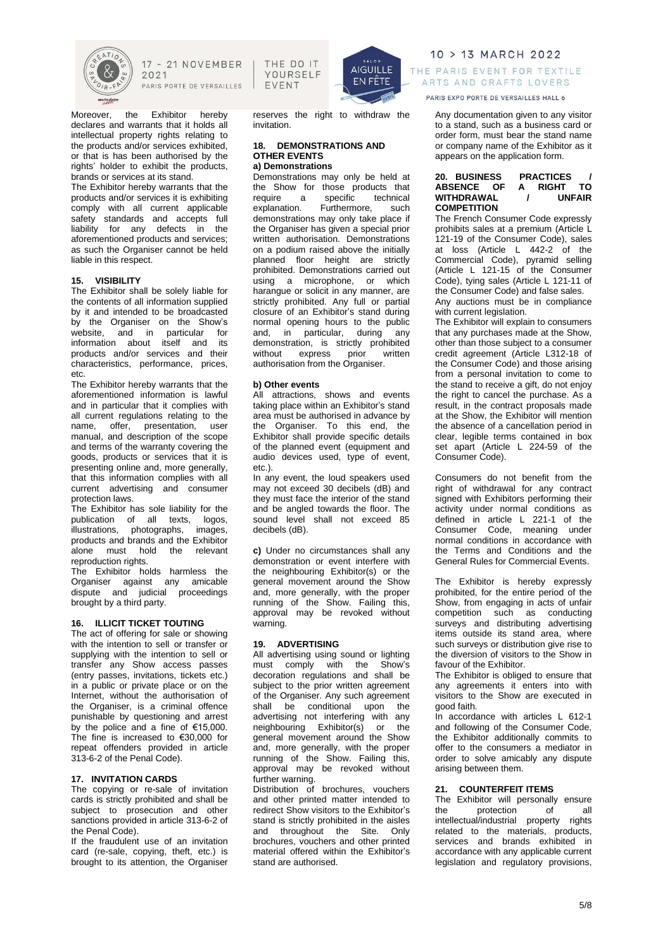

Moreover, the Exhibitor hereby declares and warrants that it holds all intellectual property rights relating to the products and/or services exhibited, or that is has been authorised by the rights' holder to exhibit the products, brands or services at its stand.

The Exhibitor hereby warrants that the products and/or services it is exhibiting comply with all current applicable safety standards and accepts full liability for any defects in the aforementioned products and services; as such the Organiser cannot be held liable in this respect.

# **15. VISIBILITY**

The Exhibitor shall be solely liable for the contents of all information supplied by it and intended to be broadcasted by the Organiser on the Show's website, and in particular for information about itself and its products and/or services and their characteristics, performance, prices, etc.

The Exhibitor hereby warrants that the aforementioned information is lawful and in particular that it complies with all current regulations relating to the<br>name, offer, presentation, user name, offer, presentation, manual, and description of the scope and terms of the warranty covering the goods, products or services that it is presenting online and, more generally, that this information complies with all current advertising and consumer protection laws.

The Exhibitor has sole liability for the publication of all texts, logos, illustrations, photographs, images, illustrations, photographs, images,<br>products and brands and the Exhibitor alone must hold the relevant reproduction rights.

The Exhibitor holds harmless the Organiser against any amicable dispute and judicial proceedings brought by a third party.

### **16. ILLICIT TICKET TOUTING**

The act of offering for sale or showing with the intention to sell or transfer or supplying with the intention to sell or transfer any Show access passes (entry passes, invitations, tickets etc.) in a public or private place or on the Internet, without the authorisation of the Organiser, is a criminal offence punishable by questioning and arrest by the police and a fine of €15,000. The fine is increased to €30,000 for repeat offenders provided in article 313-6-2 of the Penal Code).

#### **17. INVITATION CARDS**

The copying or re-sale of invitation cards is strictly prohibited and shall be subject to prosecution and other sanctions provided in article 313-6-2 of the Penal Code).

If the fraudulent use of an invitation card (re-sale, copying, theft, etc.) is brought to its attention, the Organiser

THE DO IT YOURSELF **FVFNT** 



reserves the right to withdraw the invitation.

#### **18. DEMONSTRATIONS AND OTHER EVENTS a) Demonstrations**

Demonstrations may only be held at the Show for those products that<br>require a specific technical a specific explanation. Furthermore, such demonstrations may only take place if the Organiser has given a special prior written authorisation. Demonstrations on a podium raised above the initially planned floor height are strictly prohibited. Demonstrations carried out using a microphone, or which harangue or solicit in any manner, are strictly prohibited. Any full or partial closure of an Exhibitor's stand during normal opening hours to the public and, in particular, during any demonstration, is strictly prohibited without express prior written authorisation from the Organiser.

#### **b) Other events**

All attractions, shows and events taking place within an Exhibitor's stand area must be authorised in advance by the Organiser. To this end, the Exhibitor shall provide specific details of the planned event (equipment and audio devices used, type of event, etc.).

In any event, the loud speakers used may not exceed 30 decibels (dB) and they must face the interior of the stand and be angled towards the floor. The sound level shall not exceed 85 decibels (dB).

**c)** Under no circumstances shall any demonstration or event interfere with the neighbouring Exhibitor(s) or the general movement around the Show and, more generally, with the proper running of the Show. Failing this, approval may be revoked without warning.

### **19. ADVERTISING**

All advertising using sound or lighting must comply with the Show's decoration regulations and shall be subject to the prior written agreement of the Organiser. Any such agreement shall be conditional upon the advertising not interfering with any neighbouring Exhibitor(s) or the general movement around the Show and, more generally, with the proper running of the Show. Failing this, approval may be revoked without further warning.

Distribution of brochures, vouchers and other printed matter intended to redirect Show visitors to the Exhibitor's stand is strictly prohibited in the aisles and throughout the Site. Only brochures, vouchers and other printed material offered within the Exhibitor's stand are authorised.

10 > 13 MARCH 2022 THE PARIS EVENT FOR TEXTILE ARTS AND CRAFTS LOVERS

PARIS EXPO PORTE DE VERSAILLES HALL 6

Any documentation given to any visitor to a stand, such as a business card or order form, must bear the stand name or company name of the Exhibitor as it appears on the application form.

# **20. BUSINESS PRACTICES / ABSENCE OF A RIGHT TO WITHDRAWAL / UNFAIR COMPETITION**

The French Consumer Code expressly prohibits sales at a premium (Article L 121-19 of the Consumer Code), sales at loss (Article L 442-2 of the Commercial Code), pyramid selling (Article L 121-15 of the Consumer Code), tying sales (Article L 121-11 of the Consumer Code) and false sales. Any auctions must be in compliance

with current legislation.

The Exhibitor will explain to consumers that any purchases made at the Show, other than those subject to a consumer credit agreement (Article L312-18 of the Consumer Code) and those arising from a personal invitation to come to the stand to receive a gift, do not enjoy the right to cancel the purchase. As a result, in the contract proposals made at the Show, the Exhibitor will mention the absence of a cancellation period in clear, legible terms contained in box set apart (Article L 224-59 of the Consumer Code).

Consumers do not benefit from the right of withdrawal for any contract signed with Exhibitors performing their activity under normal conditions as defined in article L 221-1 of the Consumer Code, meaning under normal conditions in accordance with the Terms and Conditions and the General Rules for Commercial Events.

The Exhibitor is hereby expressly prohibited, for the entire period of the Show, from engaging in acts of unfair competition such as conducting surveys and distributing advertising items outside its stand area, where such surveys or distribution give rise to the diversion of visitors to the Show in favour of the Exhibitor.

The Exhibitor is obliged to ensure that any agreements it enters into with visitors to the Show are executed in good faith.

In accordance with articles L 612-1 and following of the Consumer Code, the Exhibitor additionally commits to offer to the consumers a mediator in order to solve amicably any dispute arising between them.

#### **21. COUNTERFEIT ITEMS**

The Exhibitor will personally ensure<br>the protection of all protection intellectual/industrial property rights related to the materials, products, services and brands exhibited in accordance with any applicable current legislation and regulatory provisions,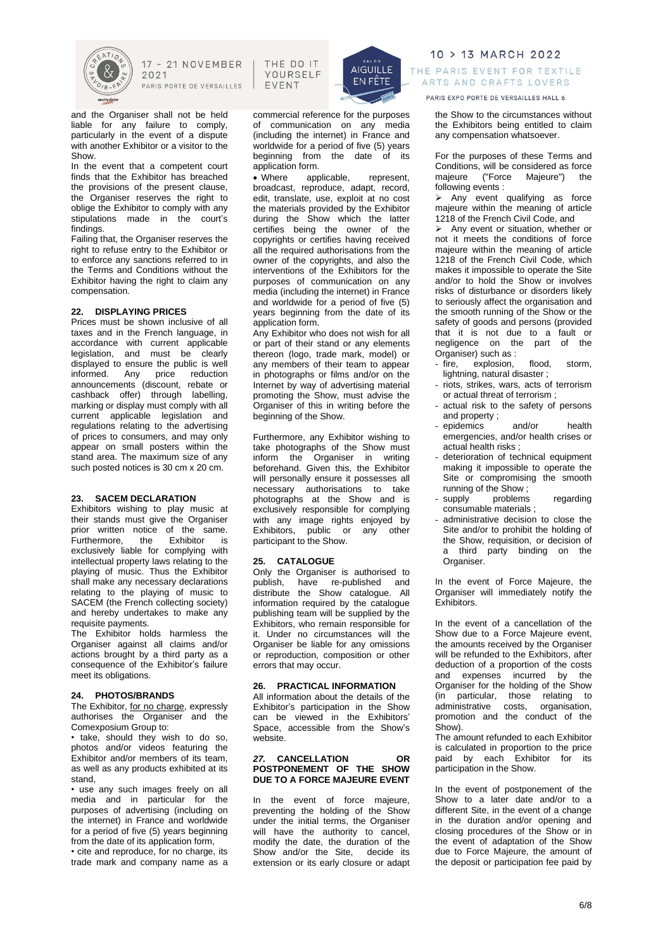

and the Organiser shall not be held liable for any failure to comply, particularly in the event of a dispute with another Exhibitor or a visitor to the Show.

In the event that a competent court finds that the Exhibitor has breached the provisions of the present clause, the Organiser reserves the right to oblige the Exhibitor to comply with any stipulations made in the court's findings.

Failing that, the Organiser reserves the right to refuse entry to the Exhibitor or to enforce any sanctions referred to in the Terms and Conditions without the Exhibitor having the right to claim any compensation.

### **22. DISPLAYING PRICES**

Prices must be shown inclusive of all taxes and in the French language, in accordance with current applicable legislation, and must be clearly displayed to ensure the public is well informed. Any price reduction announcements (discount, rebate or cashback offer) through labelling, marking or display must comply with all current applicable legislation and regulations relating to the advertising of prices to consumers, and may only appear on small posters within the stand area. The maximum size of any such posted notices is 30 cm x 20 cm.

## **23. SACEM DECLARATION**

Exhibitors wishing to play music at their stands must give the Organiser prior written notice of the same.<br>Furthermore the Exhibitor is Furthermore, the Exhibitor is exclusively liable for complying with intellectual property laws relating to the playing of music. Thus the Exhibitor shall make any necessary declarations relating to the playing of music to SACEM (the French collecting society) and hereby undertakes to make any requisite payments.

The Exhibitor holds harmless the Organiser against all claims and/or actions brought by a third party as a consequence of the Exhibitor's failure meet its obligations.

### **24. PHOTOS/BRANDS**

The Exhibitor, for no charge, expressly authorises the Organiser and the Comexposium Group to:

• take, should they wish to do so, photos and/or videos featuring the Exhibitor and/or members of its team, as well as any products exhibited at its stand,

• use any such images freely on all media and in particular for the purposes of advertising (including on the internet) in France and worldwide for a period of five (5) years beginning from the date of its application form,

• cite and reproduce, for no charge, its trade mark and company name as a

THE DO IT YOURSELF EVENT



commercial reference for the purposes of communication on any media (including the internet) in France and worldwide for a period of five (5) years beginning from the date of its application form.

• Where applicable, represent, broadcast, reproduce, adapt, record, edit, translate, use, exploit at no cost the materials provided by the Exhibitor during the Show which the latter certifies being the owner of the copyrights or certifies having received all the required authorisations from the owner of the copyrights, and also the interventions of the Exhibitors for the purposes of communication on any media (including the internet) in France and worldwide for a period of five (5) years beginning from the date of its application form.

Any Exhibitor who does not wish for all or part of their stand or any elements thereon (logo, trade mark, model) or any members of their team to appear in photographs or films and/or on the Internet by way of advertising material promoting the Show, must advise the Organiser of this in writing before the beginning of the Show.

Furthermore, any Exhibitor wishing to take photographs of the Show must inform the Organiser in writing beforehand. Given this, the Exhibitor will personally ensure it possesses all necessary authorisations to take photographs at the Show and is exclusively responsible for complying with any image rights enjoyed by Exhibitors, public or any other participant to the Show.

# **25. CATALOGUE**

Only the Organiser is authorised to publish, have re-published and distribute the Show catalogue. All information required by the catalogue publishing team will be supplied by the Exhibitors, who remain responsible for it. Under no circumstances will the Organiser be liable for any omissions or reproduction, composition or other errors that may occur.

### **26. PRACTICAL INFORMATION**

All information about the details of the Exhibitor's participation in the Show can be viewed in the Exhibitors' Space, accessible from the Show's website.

# *27.* **CANCELLATION OR POSTPONEMENT OF THE SHOW DUE TO A FORCE MAJEURE EVENT**

In the event of force majeure, preventing the holding of the Show under the initial terms, the Organiser will have the authority to cancel, modify the date, the duration of the Show and/or the Site, decide its extension or its early closure or adapt

10 > 13 MARCH 2022 THE PARIS EVENT FOR TEXTILE ARTS AND CRAFTS LOVERS

PARIS EXPO PORTE DE VERSAILLES HALL 6

the Show to the circumstances without the Exhibitors being entitled to claim any compensation whatsoever.

For the purposes of these Terms and Conditions, will be considered as force<br>majeure ("Force Majeure") the majeure ("Force Majeure") the following events :

➢ Any event qualifying as force majeure within the meaning of article 1218 of the French Civil Code, and

➢ Any event or situation, whether or not it meets the conditions of force majeure within the meaning of article 1218 of the French Civil Code, which makes it impossible to operate the Site and/or to hold the Show or involves risks of disturbance or disorders likely to seriously affect the organisation and the smooth running of the Show or the safety of goods and persons (provided that it is not due to a fault or negligence on the part of the Organiser) such as :

- fire, explosion, flood, storm, lightning, natural disaster ;
- riots, strikes, wars, acts of terrorism or actual threat of terrorism ;
- actual risk to the safety of persons and property ;
- epidemics and/or health emergencies, and/or health crises or actual health risks ;
- deterioration of technical equipment making it impossible to operate the Site or compromising the smooth running of the Show;<br>supply problems
- problems regarding consumable materials ;
- administrative decision to close the Site and/or to prohibit the holding of the Show, requisition, or decision of a third party binding on the Organiser.

In the event of Force Majeure, the Organiser will immediately notify the Exhibitors.

In the event of a cancellation of the Show due to a Force Majeure event, the amounts received by the Organiser will be refunded to the Exhibitors, after deduction of a proportion of the costs and expenses incurred by the Organiser for the holding of the Show (in particular, those relating to administrative costs, organisation, promotion and the conduct of the Show).

The amount refunded to each Exhibitor is calculated in proportion to the price paid by each Exhibitor for its participation in the Show.

In the event of postponement of the Show to a later date and/or to a different Site, in the event of a change in the duration and/or opening and closing procedures of the Show or in the event of adaptation of the Show due to Force Majeure, the amount of the deposit or participation fee paid by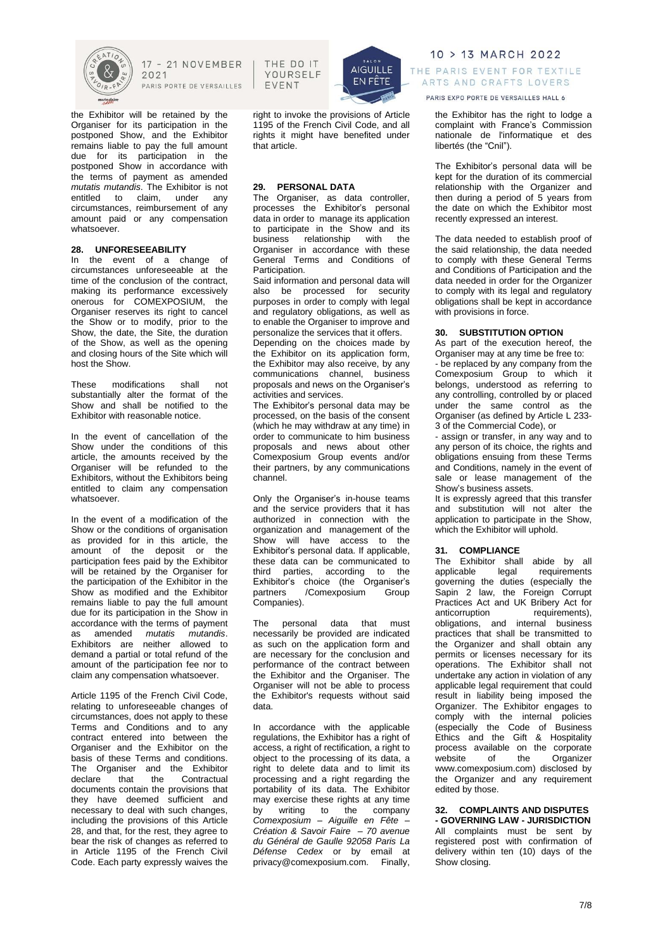

the Exhibitor will be retained by the Organiser for its participation in the postponed Show, and the Exhibitor remains liable to pay the full amount due for its participation in the postponed Show in accordance with the terms of payment as amended *mutatis mutandis*. The Exhibitor is not to claim, under any circumstances, reimbursement of any amount paid or any compensation whatsoever.

# **28. UNFORESEEABILITY**

In the event of a change of circumstances unforeseeable at the time of the conclusion of the contract, making its performance excessively onerous for COMEXPOSIUM, the Organiser reserves its right to cancel the Show or to modify, prior to the Show, the date, the Site, the duration of the Show, as well as the opening and closing hours of the Site which will host the Show.

These modifications shall not substantially alter the format of the Show and shall be notified to the Exhibitor with reasonable notice.

In the event of cancellation of the Show under the conditions of this article, the amounts received by the Organiser will be refunded to the Exhibitors, without the Exhibitors being entitled to claim any compensation whatsoever.

In the event of a modification of the Show or the conditions of organisation as provided for in this article, the amount of the deposit or the participation fees paid by the Exhibitor will be retained by the Organiser for the participation of the Exhibitor in the Show as modified and the Exhibitor remains liable to pay the full amount due for its participation in the Show in accordance with the terms of payment as amended *mutatis mutandis*. Exhibitors are neither allowed to demand a partial or total refund of the amount of the participation fee nor to claim any compensation whatsoever.

Article 1195 of the French Civil Code, relating to unforeseeable changes of circumstances, does not apply to these Terms and Conditions and to any contract entered into between the Organiser and the Exhibitor on the basis of these Terms and conditions. The Organiser and the Exhibitor declare that the Contractual documents contain the provisions that they have deemed sufficient and necessary to deal with such changes, including the provisions of this Article 28, and that, for the rest, they agree to bear the risk of changes as referred to in Article 1195 of the French Civil Code. Each party expressly waives the

THE DO IT YOURSELF **FVFNT** 



right to invoke the provisions of Article 1195 of the French Civil Code, and all rights it might have benefited under that article.

# **29. PERSONAL DATA**

The Organiser, as data controller, processes the Exhibitor's personal data in order to manage its application to participate in the Show and its business relationship with the Organiser in accordance with these General Terms and Conditions of Participation.

Said information and personal data will also be processed for security purposes in order to comply with legal and regulatory obligations, as well as to enable the Organiser to improve and personalize the services that it offers.

Depending on the choices made by the Exhibitor on its application form, the Exhibitor may also receive, by any communications channel, business proposals and news on the Organiser's activities and services.

The Exhibitor's personal data may be processed, on the basis of the consent (which he may withdraw at any time) in order to communicate to him business proposals and news about other Comexposium Group events and/or their partners, by any communications channel.

Only the Organiser's in-house teams and the service providers that it has authorized in connection with the organization and management of the Show will have access to the Exhibitor's personal data. If applicable, these data can be communicated to third parties, according to the Exhibitor's choice (the Organiser's partners / Comexposium Group Companies).

The personal data that must necessarily be provided are indicated as such on the application form and are necessary for the conclusion and performance of the contract between the Exhibitor and the Organiser. The Organiser will not be able to process the Exhibitor's requests without said data.

In accordance with the applicable regulations, the Exhibitor has a right of access, a right of rectification, a right to object to the processing of its data, a right to delete data and to limit its processing and a right regarding the portability of its data. The Exhibitor may exercise these rights at any time<br>by writing to the company by writing to the *Comexposium – Aiguille en Fête – Création & Savoir Faire – 70 avenue du Général de Gaulle 92058 Paris La Défense Cedex* or by email at privacy@comexposium.com. Finally,

10 > 13 MARCH 2022 THE PARIS EVENT FOR TEXTILE ARTS AND CRAFTS LOVERS

PARIS EXPO PORTE DE VERSAILLES HALL 6

the Exhibitor has the right to lodge a complaint with France's Commission nationale de l'informatique et des libertés (the "Cnil").

The Exhibitor's personal data will be kept for the duration of its commercial relationship with the Organizer and then during a period of  $\overline{5}$  years from the date on which the Exhibitor most recently expressed an interest.

The data needed to establish proof of the said relationship, the data needed to comply with these General Terms and Conditions of Participation and the data needed in order for the Organizer to comply with its legal and regulatory obligations shall be kept in accordance with provisions in force.

### **30. SUBSTITUTION OPTION**

As part of the execution hereof, the Organiser may at any time be free to: - be replaced by any company from the Comexposium Group to which it belongs, understood as referring to any controlling, controlled by or placed under the same control as the Organiser (as defined by Article L 233- 3 of the Commercial Code), or

- assign or transfer, in any way and to any person of its choice, the rights and obligations ensuing from these Terms and Conditions, namely in the event of sale or lease management of the Show's business assets.

It is expressly agreed that this transfer and substitution will not alter the application to participate in the Show, which the Exhibitor will uphold.

### **31. COMPLIANCE**

The Exhibitor shall abide by all applicable legal requirements governing the duties (especially the Sapin 2 law, the Foreign Corrupt Practices Act and UK Bribery Act for<br>anticorruption requirements). requirements). obligations, and internal business practices that shall be transmitted to the Organizer and shall obtain any permits or licenses necessary for its operations. The Exhibitor shall not undertake any action in violation of any applicable legal requirement that could result in liability being imposed the Organizer. The Exhibitor engages to comply with the internal policies (especially the Code of Business Ethics and the Gift & Hospitality process available on the corporate website of the Organizer [www.comexposium.com\)](https://office365.eu.vadesecure.com/safeproxy/1/dmVyc2lvbjoyfG1lc3NhZ2VJRDpBQU1rQUdZME5qSmlaV1ZtTFRVeU1qY3ROR000T0MwNE1XWTBMVEUwTnpRMU9HUm1OalV4TXdCR0FBQUFBQUFxUjZhQUVIejZUN0lKM3ZBQkt1UVpCd0RLdjU1aVFuX0FRcG02M0pydnRUVTdBQUFBQUFFTUFBREt2NTVpUW5fQVFwbTYzSnJ2dFRVN0FBQVBGdzlYQUFBPXxlbWFpbEZyb206YXhlbGxlLnJlYnV0QGNvbWV4cG9zaXVtLmNvbXxlbWFpbFRvOm1vcmdhbmUuYmVyYW5nZXJAY29tZXhwb3NpdW0uY29tfGxvZ2luOmNiMWM1NDU4LWY0YTktNDlmNy05ZjBlLTM3M2Q3NGY4ODRlOHxjbGllbnRUeXBlOm9mZmljZQ==/www.comexposium.com) disclosed by the Organizer and any requirement edited by those.

**32. COMPLAINTS AND DISPUTES - GOVERNING LAW - JURISDICTION** All complaints must be sent by registered post with confirmation of delivery within ten (10) days of the Show closing.